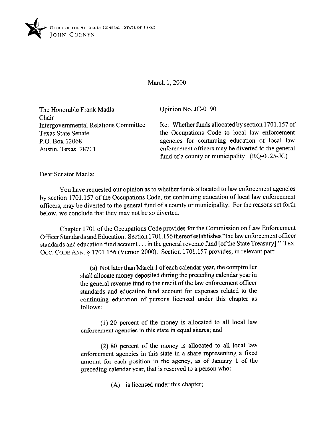

March 1, 2000

The Honorable Frank Madla Chair Intergovernmental Relations Committee Texas State Senate P.O. Box 12068 Austin, Texas 78711

Opinion No. JC-0190

Re: Whether funds allocated by section 1701.157 of the Occupations Code to local law enforcement agencies for continuing education of local law enforcement officers may be diverted to the general fund of a county or municipality  $(RQ-0125-JC)$ 

Dear Senator Madla:

You have requested our opinion as to whether funds allocated to law enforcement agencies by section 1701.157 of the Occupations Code, for continuing education of local law enforcement officers, may be diverted to the general fund of a county or municipality. For the reasons set forth below, we conclude that they may not be so diverted.

Chapter 1701 of the Occupations Code provides for the Commission on Law Enforcement Officer Standards and Education. Section 1701.156 thereofestablishes "the law enforcement officer standards and education fund account. in the general revenue fund [ofthe State Treasury]." **TEX.**  Occ. CODE ANN. § 1701.156 (Vernon 2000). Section 1701.157 provides, in relevant part:

> (a) Not later than March 1 of each calendar year, the comptroller shall allocate money deposited during the preceding calendar year in the general revenue fund to the credit of the law enforcement officer standards and education fund account for expenses related to the continuing education of persons licensed under this chapter as follows:

> (1) 20 percent of the money is allocated to all local law enforcement agencies in this state in equal shares; and

> (2) 80 percent of the money is allocated to all local law enforcement agencies in this state in a share representing a fixed amount for each position in the agency, as of January 1 of the preceding calendar year, that is reserved to a person who:

> > (A) is licensed under this chapter;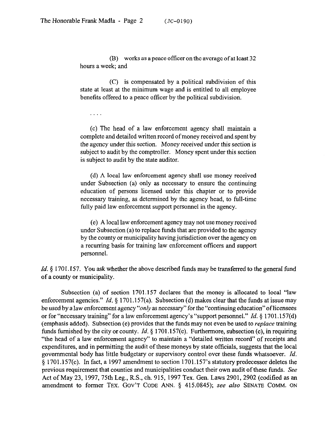$\cdots$ 

(B) works as a peace officer on the average of at least 32 hours a week; and

(C) is compensated by a political subdivision of this state at least at the minimum wage and is entitled to all employee benefits offered to a peace officer by the political subdivision.

(c) The head of a law enforcement agency shall maintain a complete and detailed written record of money received and spent by the agency under this section. Money received under this section is subject to audit by the comptroller. Money spent under this section is subject to audit by the state auditor.

(d) A local law enforcement agency shall use money received under Subsection (a) only as necessary to ensure the continuing education of persons licensed under this chapter or to provide necessary training, as determined by the agency head, to full-time fully paid law enforcement support personnel in the agency.

(e) A local law enforcement agency may not use money received under Subsection (a) to replace funds that are provided to the agency by the county or municipality having jurisdiction over the agency on a recurring basis for training law enforcement officers and support personnel.

*Id.* § 1701.157. You ask whether the above described funds may be transferred to the general fund of a county or municipality.

Subsection (a) of section 1701.157 declares that the money is allocated to local "law enforcement agencies." *Id.* § 1701.157(a). Subsection (d) makes clear that the funds at issue may be used by a law enforcement agency "only as necessary" for the "continuing education" of licensees or for "necessary training" for a law enforcement agency's "support personnel." *Id. 5* 1701.157(d) (emphasis added). Subsection(e) provides that the funds may not even be used to *replace* training funds furnished by the city or county. *Id.* 5 1701.157(e). Furthermore, subsection(c), in requiring "the head of a law enforcement agency" to maintain a "detailed written record" of receipts and expenditures, and in permitting the audit of these moneys by state officials, suggests that the local governmental body has little budgetary or supervisory control over these funds whatsoever. *Id.*  \$ 1701.157(c). In fact, a 1997 amendment to section 1701.157's statutory predecessor deletes the previous requirement that counties and municipalities conduct their own audit of these funds. See Act of May 23, 1997, 75th Leg., R.S., ch. 915, 1997 Tex. Gen. Laws 2901, 2902 (codified as an amendment to former TEX. GOV'T CODE ANN. § 415.0845); see also SENATE COMM. ON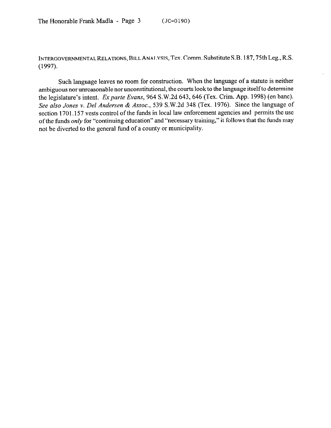INTERGOVERNMENTAL RELATIONS, BILL ANALYSIS, Tex. Comm. Substitute S.B. 187, 75th Leg., R.S. (1997).

Such language leaves no room for construction. When the language of a statute is neither ambiguous nor unreasonable nor unconstitutional, the courts look to the language itself to determine the legislature's intent. *Ex parte Evans*, 964 S.W.2d 643, 646 (Tex. Crim. App. 1998) (en banc). See *also Jones* v. *Del Andersen* & *Assoc., 539* S.W.2d 348 (Tex. 1976). Since the language of section 1701,157 vests control of the funds in local law enforcement agencies and permits the use of the funds only for "continuing education" and "necessary training," it follows that the funds may not be diverted to the general fund of a county or municipality.